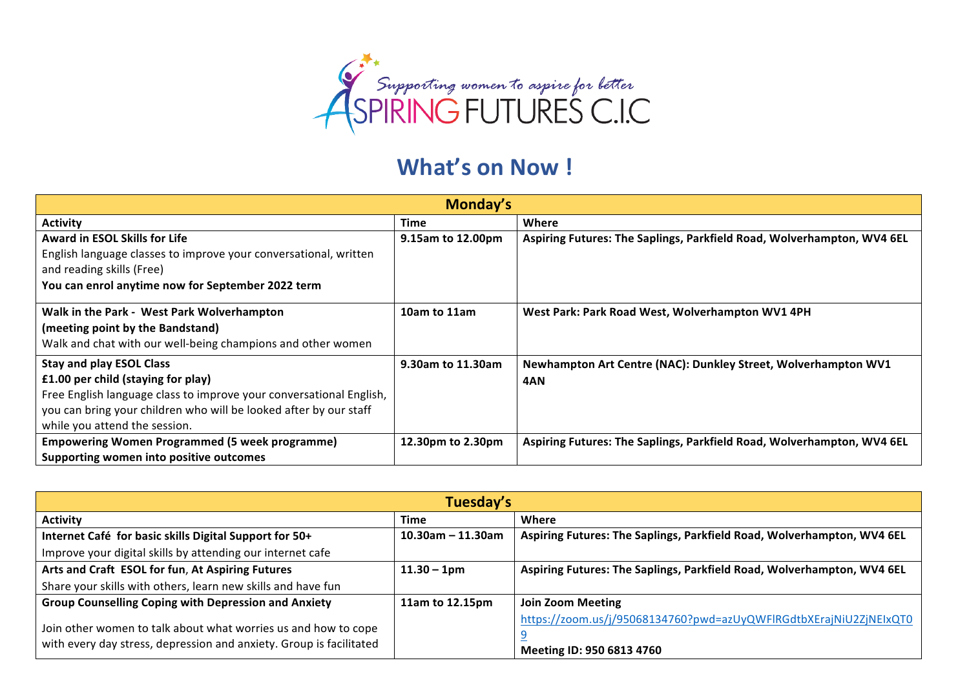

## **What's on Now!**

| Monday's                                                            |                   |                                                                        |
|---------------------------------------------------------------------|-------------------|------------------------------------------------------------------------|
| <b>Activity</b>                                                     | Time              | Where                                                                  |
| <b>Award in ESOL Skills for Life</b>                                | 9.15am to 12.00pm | Aspiring Futures: The Saplings, Parkfield Road, Wolverhampton, WV4 6EL |
| English language classes to improve your conversational, written    |                   |                                                                        |
| and reading skills (Free)                                           |                   |                                                                        |
| You can enrol anytime now for September 2022 term                   |                   |                                                                        |
| Walk in the Park - West Park Wolverhampton                          | 10am to 11am      | West Park: Park Road West, Wolverhampton WV1 4PH                       |
| (meeting point by the Bandstand)                                    |                   |                                                                        |
| Walk and chat with our well-being champions and other women         |                   |                                                                        |
| <b>Stay and play ESOL Class</b>                                     | 9.30am to 11.30am | Newhampton Art Centre (NAC): Dunkley Street, Wolverhampton WV1         |
| £1.00 per child (staying for play)                                  |                   | 4AN                                                                    |
| Free English language class to improve your conversational English, |                   |                                                                        |
| you can bring your children who will be looked after by our staff   |                   |                                                                        |
| while you attend the session.                                       |                   |                                                                        |
| <b>Empowering Women Programmed (5 week programme)</b>               | 12.30pm to 2.30pm | Aspiring Futures: The Saplings, Parkfield Road, Wolverhampton, WV4 6EL |
| Supporting women into positive outcomes                             |                   |                                                                        |

| Tuesday's                                                                                                                             |                      |                                                                                                |
|---------------------------------------------------------------------------------------------------------------------------------------|----------------------|------------------------------------------------------------------------------------------------|
| <b>Activity</b>                                                                                                                       | Time                 | Where                                                                                          |
| Internet Café for basic skills Digital Support for 50+                                                                                | $10.30$ am - 11.30am | Aspiring Futures: The Saplings, Parkfield Road, Wolverhampton, WV4 6EL                         |
| Improve your digital skills by attending our internet cafe                                                                            |                      |                                                                                                |
| Arts and Craft ESOL for fun, At Aspiring Futures                                                                                      | $11.30 - 1pm$        | Aspiring Futures: The Saplings, Parkfield Road, Wolverhampton, WV4 6EL                         |
| Share your skills with others, learn new skills and have fun                                                                          |                      |                                                                                                |
| <b>Group Counselling Coping with Depression and Anxiety</b>                                                                           | 11am to 12.15pm      | <b>Join Zoom Meeting</b>                                                                       |
| Join other women to talk about what worries us and how to cope<br>with every day stress, depression and anxiety. Group is facilitated |                      | https://zoom.us/j/95068134760?pwd=azUyQWFlRGdtbXErajNiU2ZjNElxQT0<br>Meeting ID: 950 6813 4760 |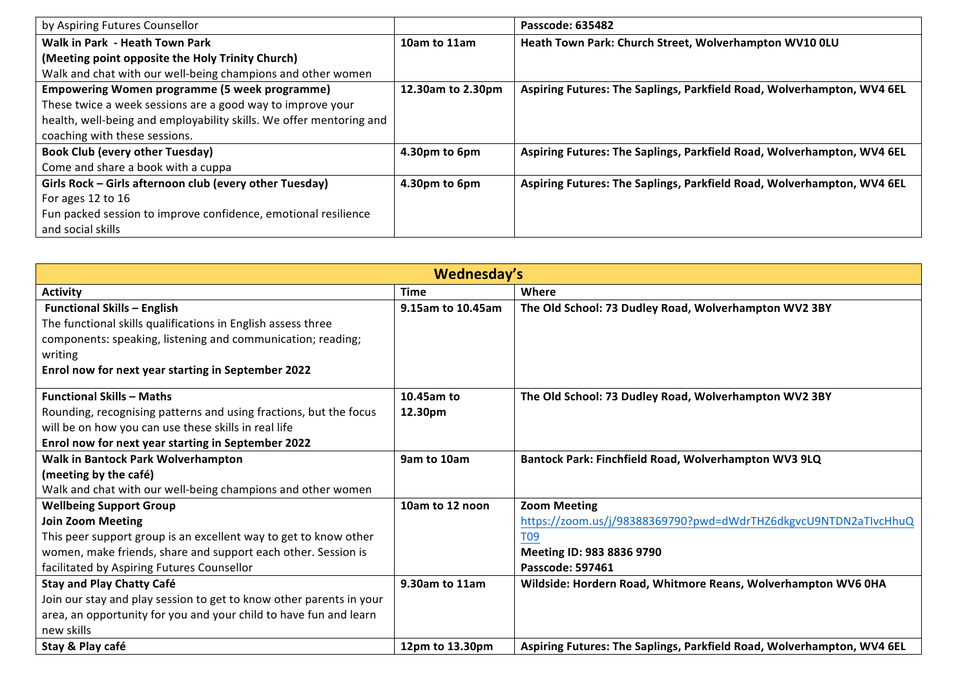| by Aspiring Futures Counsellor                                      |                   | Passcode: 635482                                                       |
|---------------------------------------------------------------------|-------------------|------------------------------------------------------------------------|
| Walk in Park - Heath Town Park                                      | 10am to 11am      | Heath Town Park: Church Street, Wolverhampton WV10 OLU                 |
| (Meeting point opposite the Holy Trinity Church)                    |                   |                                                                        |
| Walk and chat with our well-being champions and other women         |                   |                                                                        |
| <b>Empowering Women programme (5 week programme)</b>                | 12.30am to 2.30pm | Aspiring Futures: The Saplings, Parkfield Road, Wolverhampton, WV4 6EL |
| These twice a week sessions are a good way to improve your          |                   |                                                                        |
| health, well-being and employability skills. We offer mentoring and |                   |                                                                        |
| coaching with these sessions.                                       |                   |                                                                        |
| <b>Book Club (every other Tuesday)</b>                              | 4.30pm to 6pm     | Aspiring Futures: The Saplings, Parkfield Road, Wolverhampton, WV4 6EL |
| Come and share a book with a cuppa                                  |                   |                                                                        |
| Girls Rock - Girls afternoon club (every other Tuesday)             | 4.30pm to 6pm     | Aspiring Futures: The Saplings, Parkfield Road, Wolverhampton, WV4 6EL |
| For ages 12 to 16                                                   |                   |                                                                        |
| Fun packed session to improve confidence, emotional resilience      |                   |                                                                        |
| and social skills                                                   |                   |                                                                        |

| Wednesday's                                                         |                   |                                                                        |
|---------------------------------------------------------------------|-------------------|------------------------------------------------------------------------|
| <b>Activity</b>                                                     | <b>Time</b>       | Where                                                                  |
| <b>Functional Skills - English</b>                                  | 9.15am to 10.45am | The Old School: 73 Dudley Road, Wolverhampton WV2 3BY                  |
| The functional skills qualifications in English assess three        |                   |                                                                        |
| components: speaking, listening and communication; reading;         |                   |                                                                        |
| writing                                                             |                   |                                                                        |
| Enrol now for next year starting in September 2022                  |                   |                                                                        |
| <b>Functional Skills - Maths</b>                                    | 10.45am to        | The Old School: 73 Dudley Road, Wolverhampton WV2 3BY                  |
| Rounding, recognising patterns and using fractions, but the focus   | 12.30pm           |                                                                        |
| will be on how you can use these skills in real life                |                   |                                                                        |
| Enrol now for next year starting in September 2022                  |                   |                                                                        |
| Walk in Bantock Park Wolverhampton                                  | 9am to 10am       | Bantock Park: Finchfield Road, Wolverhampton WV3 9LQ                   |
| (meeting by the café)                                               |                   |                                                                        |
| Walk and chat with our well-being champions and other women         |                   |                                                                        |
| <b>Wellbeing Support Group</b>                                      | 10am to 12 noon   | <b>Zoom Meeting</b>                                                    |
| <b>Join Zoom Meeting</b>                                            |                   | https://zoom.us/j/98388369790?pwd=dWdrTHZ6dkgvcU9NTDN2aTIvcHhuQ        |
| This peer support group is an excellent way to get to know other    |                   | T <sub>09</sub>                                                        |
| women, make friends, share and support each other. Session is       |                   | Meeting ID: 983 8836 9790                                              |
| facilitated by Aspiring Futures Counsellor                          |                   | <b>Passcode: 597461</b>                                                |
| <b>Stay and Play Chatty Café</b>                                    | 9.30am to 11am    | Wildside: Hordern Road, Whitmore Reans, Wolverhampton WV6 0HA          |
| Join our stay and play session to get to know other parents in your |                   |                                                                        |
| area, an opportunity for you and your child to have fun and learn   |                   |                                                                        |
| new skills                                                          |                   |                                                                        |
| Stay & Play café                                                    | 12pm to 13.30pm   | Aspiring Futures: The Saplings, Parkfield Road, Wolverhampton, WV4 6EL |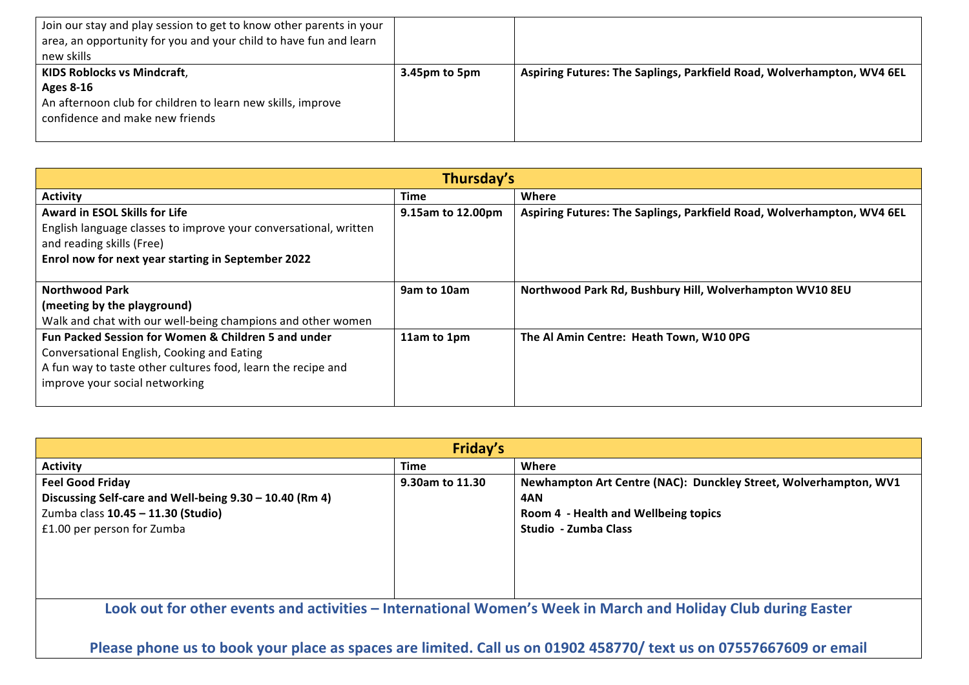| Join our stay and play session to get to know other parents in your<br>area, an opportunity for you and your child to have fun and learn<br>new skills |               |                                                                        |
|--------------------------------------------------------------------------------------------------------------------------------------------------------|---------------|------------------------------------------------------------------------|
| <b>KIDS Roblocks vs Mindcraft,</b>                                                                                                                     | 3.45pm to 5pm | Aspiring Futures: The Saplings, Parkfield Road, Wolverhampton, WV4 6EL |
| Ages 8-16                                                                                                                                              |               |                                                                        |
| An afternoon club for children to learn new skills, improve                                                                                            |               |                                                                        |
| confidence and make new friends                                                                                                                        |               |                                                                        |
|                                                                                                                                                        |               |                                                                        |

| Thursday's                                                       |                   |                                                                        |
|------------------------------------------------------------------|-------------------|------------------------------------------------------------------------|
| <b>Activity</b>                                                  | <b>Time</b>       | Where                                                                  |
| <b>Award in ESOL Skills for Life</b>                             | 9.15am to 12.00pm | Aspiring Futures: The Saplings, Parkfield Road, Wolverhampton, WV4 6EL |
| English language classes to improve your conversational, written |                   |                                                                        |
| and reading skills (Free)                                        |                   |                                                                        |
| Enrol now for next year starting in September 2022               |                   |                                                                        |
|                                                                  |                   |                                                                        |
| <b>Northwood Park</b>                                            | 9am to 10am       | Northwood Park Rd, Bushbury Hill, Wolverhampton WV10 8EU               |
| (meeting by the playground)                                      |                   |                                                                        |
| Walk and chat with our well-being champions and other women      |                   |                                                                        |
| <b>Fun Packed Session for Women &amp; Children 5 and under</b>   | 11am to 1pm       | The Al Amin Centre: Heath Town, W10 OPG                                |
| Conversational English, Cooking and Eating                       |                   |                                                                        |
| A fun way to taste other cultures food, learn the recipe and     |                   |                                                                        |
| improve your social networking                                   |                   |                                                                        |
|                                                                  |                   |                                                                        |

| Friday's                                                                                                                                               |                 |                                                                                                                                         |
|--------------------------------------------------------------------------------------------------------------------------------------------------------|-----------------|-----------------------------------------------------------------------------------------------------------------------------------------|
| <b>Activity</b>                                                                                                                                        | Time            | Where                                                                                                                                   |
| <b>Feel Good Friday</b><br>Discussing Self-care and Well-being 9.30 - 10.40 (Rm 4)<br>Zumba class 10.45 - 11.30 (Studio)<br>£1.00 per person for Zumba | 9.30am to 11.30 | Newhampton Art Centre (NAC): Dunckley Street, Wolverhampton, WV1<br>4AN<br>Room 4 - Health and Wellbeing topics<br>Studio - Zumba Class |
| Look out for other events and activities – International Women's Week in March and Holiday Club during Easter                                          |                 |                                                                                                                                         |

Please phone us to book your place as spaces are limited. Call us on 01902 458770/ text us on 07557667609 or email